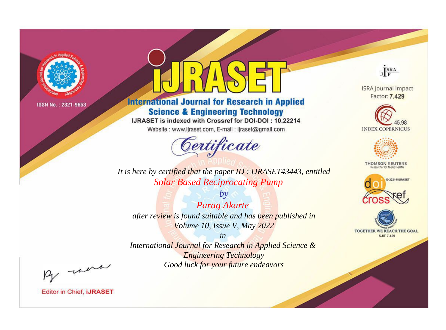

# **International Journal for Research in Applied Science & Engineering Technology**

IJRASET is indexed with Crossref for DOI-DOI: 10.22214

Website: www.ijraset.com, E-mail: ijraset@gmail.com



**ISRA Journal Impact** Factor: 7.429

JERA





**THOMSON REUTERS** 



TOGETHER WE REACH THE GOAL **SJIF 7.429** 

*It is here by certified that the paper ID : IJRASET43443, entitled Solar Based Reciprocating Pump*

*by Parag Akarte after review is found suitable and has been published in Volume 10, Issue V, May 2022*

*in* 

*International Journal for Research in Applied Science & Engineering Technology Good luck for your future endeavors*

By morn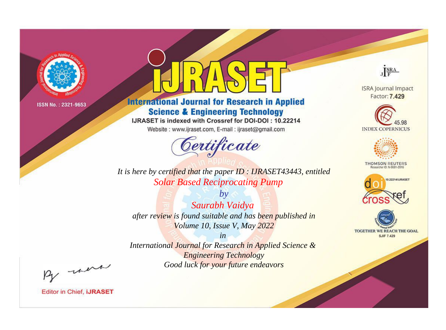

# **International Journal for Research in Applied Science & Engineering Technology**

IJRASET is indexed with Crossref for DOI-DOI: 10.22214

Website: www.ijraset.com, E-mail: ijraset@gmail.com



**ISRA Journal Impact** 

JERA

Factor: 7.429





**THOMSON REUTERS** 



TOGETHER WE REACH THE GOAL **SJIF 7.429** 

*It is here by certified that the paper ID : IJRASET43443, entitled Solar Based Reciprocating Pump*

*by Saurabh Vaidya after review is found suitable and has been published in Volume 10, Issue V, May 2022*

*in* 

*International Journal for Research in Applied Science & Engineering Technology Good luck for your future endeavors*

By morn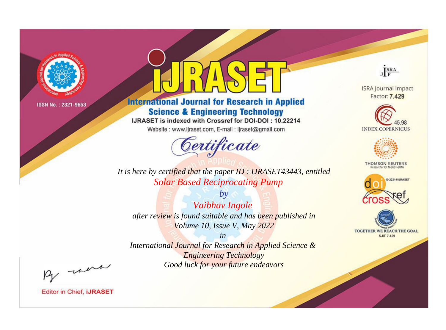

# **International Journal for Research in Applied Science & Engineering Technology**

IJRASET is indexed with Crossref for DOI-DOI: 10.22214

Website: www.ijraset.com, E-mail: ijraset@gmail.com



**ISRA Journal Impact** Factor: 7.429

JERA





**THOMSON REUTERS** 



TOGETHER WE REACH THE GOAL **SJIF 7.429** 

*It is here by certified that the paper ID : IJRASET43443, entitled Solar Based Reciprocating Pump*

*by Vaibhav Ingole after review is found suitable and has been published in Volume 10, Issue V, May 2022*

*in* 

*International Journal for Research in Applied Science & Engineering Technology Good luck for your future endeavors*

By morn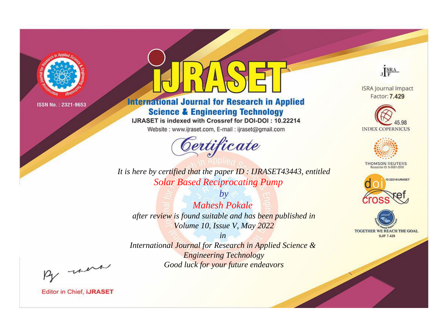

# **International Journal for Research in Applied Science & Engineering Technology**

IJRASET is indexed with Crossref for DOI-DOI: 10.22214

Website: www.ijraset.com, E-mail: ijraset@gmail.com



**ISRA Journal Impact** Factor: 7.429

JERA





**THOMSON REUTERS** 



TOGETHER WE REACH THE GOAL **SJIF 7.429** 

*It is here by certified that the paper ID : IJRASET43443, entitled Solar Based Reciprocating Pump*

*by Mahesh Pokale after review is found suitable and has been published in Volume 10, Issue V, May 2022*

*in* 

*International Journal for Research in Applied Science & Engineering Technology Good luck for your future endeavors*

By morn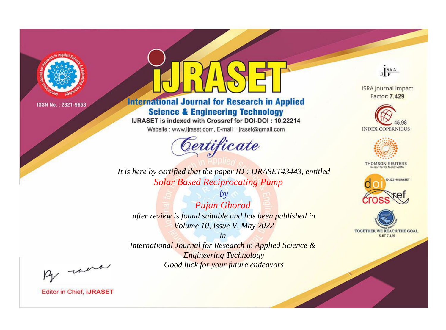

# **International Journal for Research in Applied Science & Engineering Technology**

IJRASET is indexed with Crossref for DOI-DOI: 10.22214

Website: www.ijraset.com, E-mail: ijraset@gmail.com



**ISRA Journal Impact** Factor: 7.429

JERA





**THOMSON REUTERS** 



TOGETHER WE REACH THE GOAL **SJIF 7.429** 

*It is here by certified that the paper ID : IJRASET43443, entitled Solar Based Reciprocating Pump*

*by Pujan Ghorad after review is found suitable and has been published in Volume 10, Issue V, May 2022*

*in International Journal for Research in Applied Science &* 

*Engineering Technology Good luck for your future endeavors*

By morn